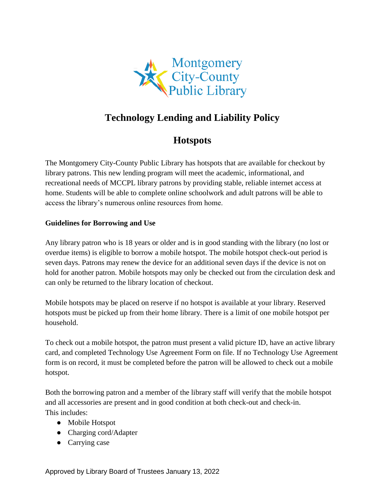

# **Technology Lending and Liability Policy**

## **Hotspots**

The Montgomery City-County Public Library has hotspots that are available for checkout by library patrons. This new lending program will meet the academic, informational, and recreational needs of MCCPL library patrons by providing stable, reliable internet access at home. Students will be able to complete online schoolwork and adult patrons will be able to access the library's numerous online resources from home.

## **Guidelines for Borrowing and Use**

Any library patron who is 18 years or older and is in good standing with the library (no lost or overdue items) is eligible to borrow a mobile hotspot. The mobile hotspot check-out period is seven days. Patrons may renew the device for an additional seven days if the device is not on hold for another patron. Mobile hotspots may only be checked out from the circulation desk and can only be returned to the library location of checkout.

Mobile hotspots may be placed on reserve if no hotspot is available at your library. Reserved hotspots must be picked up from their home library. There is a limit of one mobile hotspot per household.

To check out a mobile hotspot, the patron must present a valid picture ID, have an active library card, and completed Technology Use Agreement Form on file. If no Technology Use Agreement form is on record, it must be completed before the patron will be allowed to check out a mobile hotspot.

Both the borrowing patron and a member of the library staff will verify that the mobile hotspot and all accessories are present and in good condition at both check-out and check-in. This includes:

- Mobile Hotspot
- Charging cord/Adapter
- Carrying case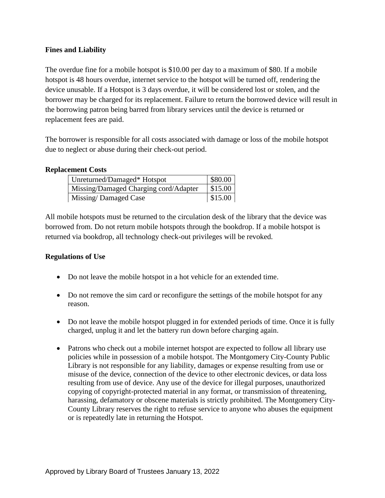### **Fines and Liability**

The overdue fine for a mobile hotspot is \$10.00 per day to a maximum of \$80. If a mobile hotspot is 48 hours overdue, internet service to the hotspot will be turned off, rendering the device unusable. If a Hotspot is 3 days overdue, it will be considered lost or stolen, and the borrower may be charged for its replacement. Failure to return the borrowed device will result in the borrowing patron being barred from library services until the device is returned or replacement fees are paid.

The borrower is responsible for all costs associated with damage or loss of the mobile hotspot due to neglect or abuse during their check-out period.

#### **Replacement Costs**

| Unreturned/Damaged* Hotspot           | \$80.00 |
|---------------------------------------|---------|
| Missing/Damaged Charging cord/Adapter | \$15.00 |
| Missing/Damaged Case                  | \$15.00 |

All mobile hotspots must be returned to the circulation desk of the library that the device was borrowed from. Do not return mobile hotspots through the bookdrop. If a mobile hotspot is returned via bookdrop, all technology check-out privileges will be revoked.

#### **Regulations of Use**

- Do not leave the mobile hotspot in a hot vehicle for an extended time.
- Do not remove the sim card or reconfigure the settings of the mobile hotspot for any reason.
- Do not leave the mobile hotspot plugged in for extended periods of time. Once it is fully charged, unplug it and let the battery run down before charging again.
- Patrons who check out a mobile internet hotspot are expected to follow all library use policies while in possession of a mobile hotspot. The Montgomery City-County Public Library is not responsible for any liability, damages or expense resulting from use or misuse of the device, connection of the device to other electronic devices, or data loss resulting from use of device. Any use of the device for illegal purposes, unauthorized copying of copyright-protected material in any format, or transmission of threatening, harassing, defamatory or obscene materials is strictly prohibited. The Montgomery City-County Library reserves the right to refuse service to anyone who abuses the equipment or is repeatedly late in returning the Hotspot.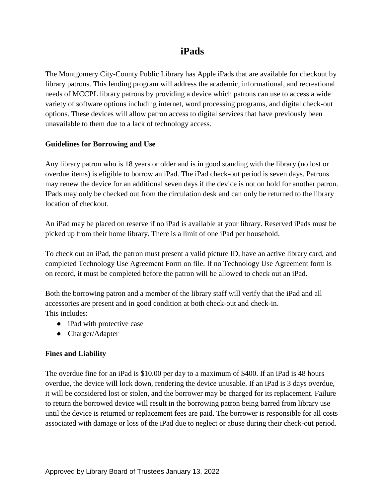## **iPads**

The Montgomery City-County Public Library has Apple iPads that are available for checkout by library patrons. This lending program will address the academic, informational, and recreational needs of MCCPL library patrons by providing a device which patrons can use to access a wide variety of software options including internet, word processing programs, and digital check-out options. These devices will allow patron access to digital services that have previously been unavailable to them due to a lack of technology access.

## **Guidelines for Borrowing and Use**

Any library patron who is 18 years or older and is in good standing with the library (no lost or overdue items) is eligible to borrow an iPad. The iPad check-out period is seven days. Patrons may renew the device for an additional seven days if the device is not on hold for another patron. IPads may only be checked out from the circulation desk and can only be returned to the library location of checkout.

An iPad may be placed on reserve if no iPad is available at your library. Reserved iPads must be picked up from their home library. There is a limit of one iPad per household.

To check out an iPad, the patron must present a valid picture ID, have an active library card, and completed Technology Use Agreement Form on file. If no Technology Use Agreement form is on record, it must be completed before the patron will be allowed to check out an iPad.

Both the borrowing patron and a member of the library staff will verify that the iPad and all accessories are present and in good condition at both check-out and check-in. This includes:

- iPad with protective case
- Charger/Adapter

## **Fines and Liability**

The overdue fine for an iPad is \$10.00 per day to a maximum of \$400. If an iPad is 48 hours overdue, the device will lock down, rendering the device unusable. If an iPad is 3 days overdue, it will be considered lost or stolen, and the borrower may be charged for its replacement. Failure to return the borrowed device will result in the borrowing patron being barred from library use until the device is returned or replacement fees are paid. The borrower is responsible for all costs associated with damage or loss of the iPad due to neglect or abuse during their check-out period.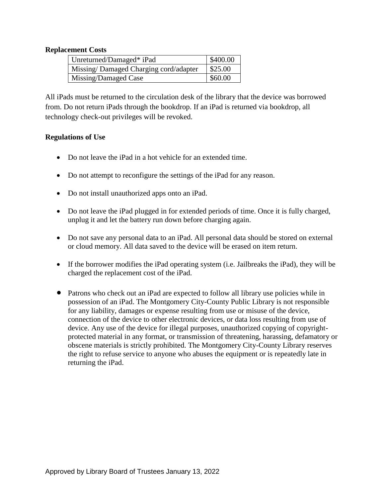### **Replacement Costs**

| Unreturned/Damaged* iPad              | \$400.00 |
|---------------------------------------|----------|
| Missing/Damaged Charging cord/adapter | \$25.00  |
| Missing/Damaged Case                  | \$60.00  |

All iPads must be returned to the circulation desk of the library that the device was borrowed from. Do not return iPads through the bookdrop. If an iPad is returned via bookdrop, all technology check-out privileges will be revoked.

#### **Regulations of Use**

- Do not leave the iPad in a hot vehicle for an extended time.
- Do not attempt to reconfigure the settings of the iPad for any reason.
- Do not install unauthorized apps onto an iPad.
- Do not leave the iPad plugged in for extended periods of time. Once it is fully charged, unplug it and let the battery run down before charging again.
- Do not save any personal data to an iPad. All personal data should be stored on external or cloud memory. All data saved to the device will be erased on item return.
- If the borrower modifies the iPad operating system (i.e. Jailbreaks the iPad), they will be charged the replacement cost of the iPad.
- Patrons who check out an iPad are expected to follow all library use policies while in possession of an iPad. The Montgomery City-County Public Library is not responsible for any liability, damages or expense resulting from use or misuse of the device, connection of the device to other electronic devices, or data loss resulting from use of device. Any use of the device for illegal purposes, unauthorized copying of copyrightprotected material in any format, or transmission of threatening, harassing, defamatory or obscene materials is strictly prohibited. The Montgomery City-County Library reserves the right to refuse service to anyone who abuses the equipment or is repeatedly late in returning the iPad.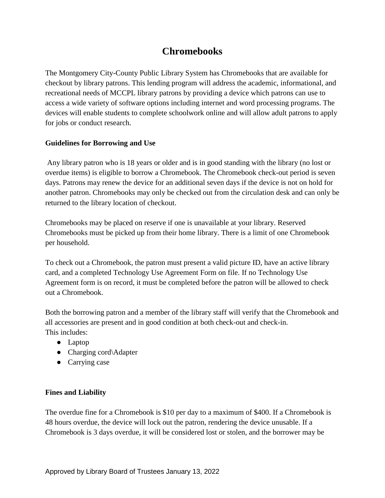## **Chromebooks**

The Montgomery City-County Public Library System has Chromebooks that are available for checkout by library patrons. This lending program will address the academic, informational, and recreational needs of MCCPL library patrons by providing a device which patrons can use to access a wide variety of software options including internet and word processing programs. The devices will enable students to complete schoolwork online and will allow adult patrons to apply for jobs or conduct research.

## **Guidelines for Borrowing and Use**

Any library patron who is 18 years or older and is in good standing with the library (no lost or overdue items) is eligible to borrow a Chromebook. The Chromebook check-out period is seven days. Patrons may renew the device for an additional seven days if the device is not on hold for another patron. Chromebooks may only be checked out from the circulation desk and can only be returned to the library location of checkout.

Chromebooks may be placed on reserve if one is unavailable at your library. Reserved Chromebooks must be picked up from their home library. There is a limit of one Chromebook per household.

To check out a Chromebook, the patron must present a valid picture ID, have an active library card, and a completed Technology Use Agreement Form on file. If no Technology Use Agreement form is on record, it must be completed before the patron will be allowed to check out a Chromebook.

Both the borrowing patron and a member of the library staff will verify that the Chromebook and all accessories are present and in good condition at both check-out and check-in. This includes:

- Laptop
- Charging cord\Adapter
- Carrying case

## **Fines and Liability**

The overdue fine for a Chromebook is \$10 per day to a maximum of \$400. If a Chromebook is 48 hours overdue, the device will lock out the patron, rendering the device unusable. If a Chromebook is 3 days overdue, it will be considered lost or stolen, and the borrower may be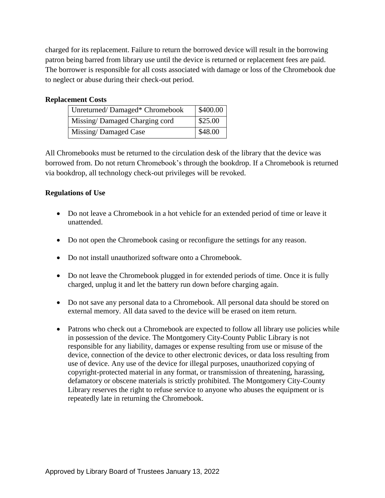charged for its replacement. Failure to return the borrowed device will result in the borrowing patron being barred from library use until the device is returned or replacement fees are paid. The borrower is responsible for all costs associated with damage or loss of the Chromebook due to neglect or abuse during their check-out period.

### **Replacement Costs**

| Unreturned/Damaged* Chromebook | \$400.00 |
|--------------------------------|----------|
| Missing/Damaged Charging cord  | \$25.00  |
| Missing/Damaged Case           | \$48.00  |

All Chromebooks must be returned to the circulation desk of the library that the device was borrowed from. Do not return Chromebook's through the bookdrop. If a Chromebook is returned via bookdrop, all technology check-out privileges will be revoked.

## **Regulations of Use**

- Do not leave a Chromebook in a hot vehicle for an extended period of time or leave it unattended.
- Do not open the Chromebook casing or reconfigure the settings for any reason.
- Do not install unauthorized software onto a Chromebook.
- Do not leave the Chromebook plugged in for extended periods of time. Once it is fully charged, unplug it and let the battery run down before charging again.
- Do not save any personal data to a Chromebook. All personal data should be stored on external memory. All data saved to the device will be erased on item return.
- Patrons who check out a Chromebook are expected to follow all library use policies while in possession of the device. The Montgomery City-County Public Library is not responsible for any liability, damages or expense resulting from use or misuse of the device, connection of the device to other electronic devices, or data loss resulting from use of device. Any use of the device for illegal purposes, unauthorized copying of copyright-protected material in any format, or transmission of threatening, harassing, defamatory or obscene materials is strictly prohibited. The Montgomery City-County Library reserves the right to refuse service to anyone who abuses the equipment or is repeatedly late in returning the Chromebook.